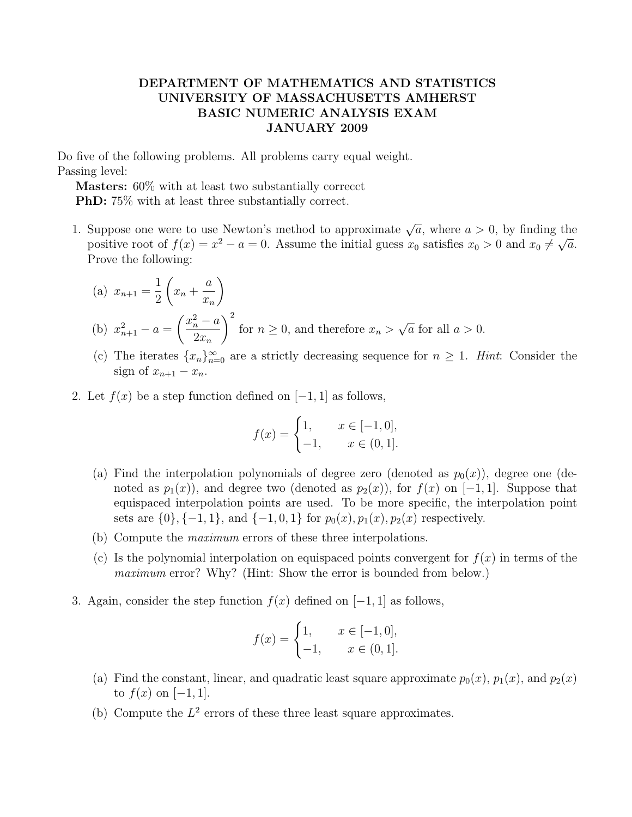## DEPARTMENT OF MATHEMATICS AND STATISTICS UNIVERSITY OF MASSACHUSETTS AMHERST BASIC NUMERIC ANALYSIS EXAM JANUARY 2009

Do five of the following problems. All problems carry equal weight. Passing level:

Masters: 60% with at least two substantially correcct PhD: 75% with at least three substantially correct.

- 1. Suppose one were to use Newton's method to approximate  $\sqrt{a}$ , where  $a > 0$ , by finding the positive root of  $f(x) = x^2 - a = 0$ . Assume the initial guess  $x_0$  satisfies  $x_0 > 0$  and  $x_0 \neq \sqrt{a}$ . Prove the following:
	- (a)  $x_{n+1} =$ 1 2  $\sqrt{ }$  $x_n +$ a  $\bar{x}_n$  $\setminus$ (b)  $x_{n+1}^2 - a =$  $\int x_n^2 - a$  $2x_n$  $\setminus^2$ for  $n \geq 0$ , and therefore  $x_n >$ √  $\overline{a}$  for all  $a > 0$ .
	- (c) The iterates  $\{x_n\}_{n=0}^{\infty}$  are a strictly decreasing sequence for  $n \geq 1$ . Hint: Consider the sign of  $x_{n+1} - x_n$ .
- 2. Let  $f(x)$  be a step function defined on  $[-1, 1]$  as follows,

$$
f(x) = \begin{cases} 1, & x \in [-1, 0], \\ -1, & x \in (0, 1]. \end{cases}
$$

- (a) Find the interpolation polynomials of degree zero (denoted as  $p_0(x)$ ), degree one (denoted as  $p_1(x)$ , and degree two (denoted as  $p_2(x)$ ), for  $f(x)$  on [−1, 1]. Suppose that equispaced interpolation points are used. To be more specific, the interpolation point sets are  $\{0\}, \{-1, 1\}, \text{ and } \{-1, 0, 1\} \text{ for } p_0(x), p_1(x), p_2(x) \text{ respectively.}$
- (b) Compute the maximum errors of these three interpolations.
- (c) Is the polynomial interpolation on equispaced points convergent for  $f(x)$  in terms of the maximum error? Why? (Hint: Show the error is bounded from below.)
- 3. Again, consider the step function  $f(x)$  defined on  $[-1, 1]$  as follows,

$$
f(x) = \begin{cases} 1, & x \in [-1, 0], \\ -1, & x \in (0, 1]. \end{cases}
$$

- (a) Find the constant, linear, and quadratic least square approximate  $p_0(x)$ ,  $p_1(x)$ , and  $p_2(x)$ to  $f(x)$  on [−1, 1].
- (b) Compute the  $L^2$  errors of these three least square approximates.